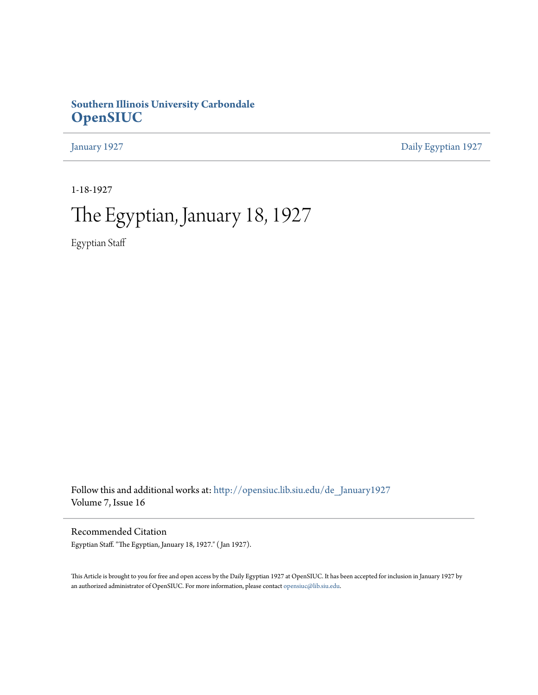## **Southern Illinois University Carbondale [OpenSIUC](http://opensiuc.lib.siu.edu?utm_source=opensiuc.lib.siu.edu%2Fde_January1927%2F2&utm_medium=PDF&utm_campaign=PDFCoverPages)**

[January 1927](http://opensiuc.lib.siu.edu/de_January1927?utm_source=opensiuc.lib.siu.edu%2Fde_January1927%2F2&utm_medium=PDF&utm_campaign=PDFCoverPages) [Daily Egyptian 1927](http://opensiuc.lib.siu.edu/de_1927?utm_source=opensiuc.lib.siu.edu%2Fde_January1927%2F2&utm_medium=PDF&utm_campaign=PDFCoverPages)

1-18-1927

## The Egyptian, January 18, 1927

Egyptian Staff

Follow this and additional works at: [http://opensiuc.lib.siu.edu/de\\_January1927](http://opensiuc.lib.siu.edu/de_January1927?utm_source=opensiuc.lib.siu.edu%2Fde_January1927%2F2&utm_medium=PDF&utm_campaign=PDFCoverPages) Volume 7, Issue 16

Recommended Citation Egyptian Staff. "The Egyptian, January 18, 1927." ( Jan 1927).

This Article is brought to you for free and open access by the Daily Egyptian 1927 at OpenSIUC. It has been accepted for inclusion in January 1927 by an authorized administrator of OpenSIUC. For more information, please contact [opensiuc@lib.siu.edu.](mailto:opensiuc@lib.siu.edu)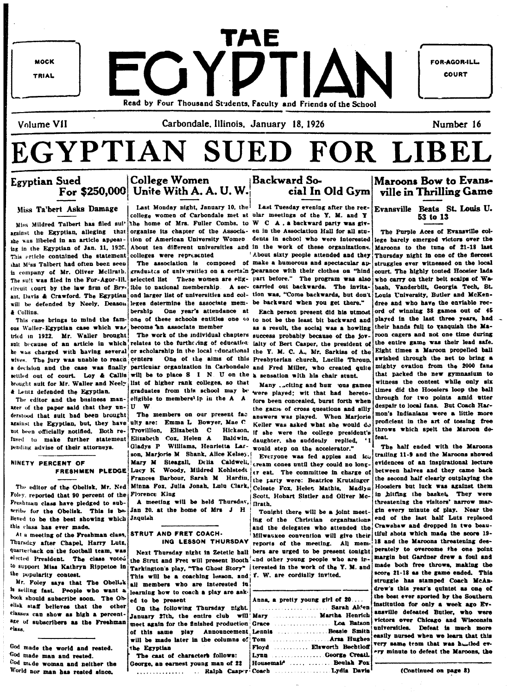**MOCK TRIAL** 

TAE FGYDTIAN Read by Four Thousand Students, Faculty and Friends of the School

FOR-AGOR-ILL **COURT** 

Number 16

Volume VII

**Egyptian Sued** 

Carbondale, Illinois, January 18, 1926

# EGYPTIAN SUED FOR LIBEL

## For \$250,000 Unite With A. A. U. W. Backward So-Miss Ta'bert Asks Damage

Miss Mildred Talbert has filed sui' against the Egyptian, alleging that she was libeled in an article appearing in the Egyptian of Jan. 11, 1920. This erticle contained the statement that M'ss Talbert had often been seen in company of Mr. Oliver McIlrath. The suit was filed in the For-Agor-Ill. direnit court by the law firm of Bryant, Davis & Crawford. The Egyptian ond larger list of universities and col- tion was, "Come backwards, but don't will be defended by Neely, Deason **&** Collina.

This case brings to mind the famous Waller-Egyptian case which was trid in 1922. Mr. Waller brought! The work of the individual chapters success probably because of the jov-*A Lentz defended the Egyptian.* 

The editor and the business manager of the paper said that they un-  $|U - W|$ derstood that suit had been brought | The members on our present fac against the Egyptian, but, they have ulty are: Emma L Bowyer, Mae C not been officially notified. Both re- Trovillion, Elizabeth C Hickson. fused to make further statement Elizabeth Cox, Helen A pending advise of their attorneys.

## NINETY PERCENT OF

Foley, reported that 90 percent of the Florence King Freshman class have pledged to subscribe for the Obelisk. This is believed to be the best showing which Jaquish this class has ever made.

At a meeting of the Freshman class, Thursday after Chapel, Harry Lutz, **Quarterback** on the football team. was elected President. The class voted to support Miss Kathryn Rippetoe in the popularity contest.

Mr. Foley says that The Obelisk is selling fast. People who want a book should subscribe soon. The Obelisk staff believes that the other classes can show as high a percentage of subscribers as the Freshman rlass.

God made the world and rested. God made man and rested. God mide woman and neither the World nor man has rested since.

Last Monday night, January 10, the Last Tuesday evening after the regcollege women of Carbondale met at ular meetings of the Y. M. and Y the home of Mrs. Fuller Combs, to W C A, a backward party was givorganize its chapter of the Associa- en in the Association Hall for all stucolleges were represented

graduates of universities on a certain pearance with their clothes on "hind selected list These women are elig- part before." The program was also ible to national membership. A sec- carried out backwards. The invitaleges determine the associate mem- be backward when you get there." **berahin** 

become an associate member

suit because of an article in which relates to the furthering of education jaity of Bert Casper, the president of he was charged with having several or scholarship in the local educational the Y. M. C. A., Mr. Sarkiss of the wives. The jury was unable to reach centers One of the aims of this Presbyterian church, Lucille Throup, a decision and the case was finally particular organization in Carbondale and Fred Miller, who created quite settled out of court. Loy & Callis will be to place S I N. U on the a sensation with his chair stunt. brought suit for Mr. Waller and Neely list of higher rank colleges, so that Many ... citing and hum ous games graduates from this school may be were played; wit that had heretoeligible to members' ip in the A A fore been concealed, burst forth when

> Gladys P Williams, Henrietta Lar- would step on the accelerator." son, Marjorie M Shank, Alice Kelsey.

A meeting will be held Thursday,

Jan 20. at the home of Mrs J H

## **STRUT AND FRET COACH-**

the Strut and Fret will present Booth and other young people who are in-Tarkington's play, "The Ghost Story" | terested in the work of the Y. M. and This will be a coaching lesson, and Y. W. are cordially invited. all members who are interested in learning how to coach a play are ask-

ed to be present On the following Thursday night.

January 27th, the entire club will meet again for the finished production of this same play Announcement will be made later in the columns of the Egyptian

The cast of characters follows: George, an earnest young man of 22 ............. ... Ralph Casper

About ten different universities and in the work of these organizations. 'About sixty people attended and they The association is composed of make a humorous and spectacular au-

cial In Old Gym

One year's attendance at Each person present did his utmost one of these schools entitles one (i) to not be the least bit backward and as a result, the social was a howling

> the game of cross questions and silly answers was played. When Mariorie Keller was asked what she would do if she were the college president's Baldwin, daughter, she suddenly replied,

Everyone was fed apples and icu Mary M Steagall, Delia Caldwell, cream cones until they could no long-FRESHMEN PLEDGE Lucy K Woody, Mildred Kohlstedt er eat. The committee in charge of Frances Barbour, Sarah M Hardin, the party were: Beatrice Krutsinger The editor of the Obelisk, Mr. Ned Minna Fox, Julia Jonah, Lulu Clark, Celeste Fox, Helez Mathis, Madlyn Scott, Hobart Sistler and Oliver Mc-Drath.

> Tonight there will be a joint meeting of the Christian organizations and the delegates who attended the Milwaukee convention will give their ING LESSON THURSDAY reports of the meeting. All mem-Next Thursday night in Zetetic hall bers are urged to be present tonight perately to overcome the one point

| Anna, a pretty young girl of 20 |
|---------------------------------|
|                                 |
| Mary  Martha Henrich            |
|                                 |
|                                 |
| Lennis Bessie Smith             |
|                                 |
| Floyd  Elsworth Bechtloff       |
| Lynn George Creath              |
|                                 |
| Housemair   Beulah Fox          |
|                                 |
|                                 |

## Maroons Bow to Evansville in Thrilling Game

Evansville Beats St. Louis U. 53 to 13

The Purple Aces of Evansville coltion of American University Women dents in school who were interested lege barely emerged victors over the Maroons to the tune of 21-18 last Thursday night in one of the flercest struggles ever witnessed on the local court. The highly touted Hoosier lads who carry on their belt scalps of Wabash, Vanderbilt, Georgia Tech, St. Louis University, Butler and McKendree and who have the enviable record of winning 38 games out of 45 played in the last three years, had. their hands full to vanquish the Maroon cagers and not one time during the entire game was their lead safe. Eight times a Maroon propelled ball swished through the net to bring a mighty ovation from the 2000 fans that packed the new gymnasium to witness the contest while only six times did the Hoosiers loop the ball through for two points amid utter despair to local fans. But Coach Harmon's Indianians were a little more proficient in the art of tossing free throws which spelt the Marcon defoat

> The half ended with the Marcons trailing 11-9 and the Maroons showed evidences of an inspirational lecture between halves and they came back the second half clearly outplaying the Hoosiers but luck was against them in hitting the basket, They were threatening the visitors' narrow margin every minute of play. Near the end of the last half Luts replaced Crawshaw and dropped in two beautiful shots which made the score 19-18 and the Marcons threatening desmargin but Gardner drew a foul and made both free throws, making the score 21-18 as the game ended. This struggie has stamped Coach McAndrew's this year's quintet as one of the best ever sported by the Southern institution for only a week ago Evansville defeated Butler, who were victors over Chicago and Wisconsin universities. Defeat is much more easily nursed when we learn that this very same team that was huntled every minute to defeat the Maroons, the

> > (Continued on page 8)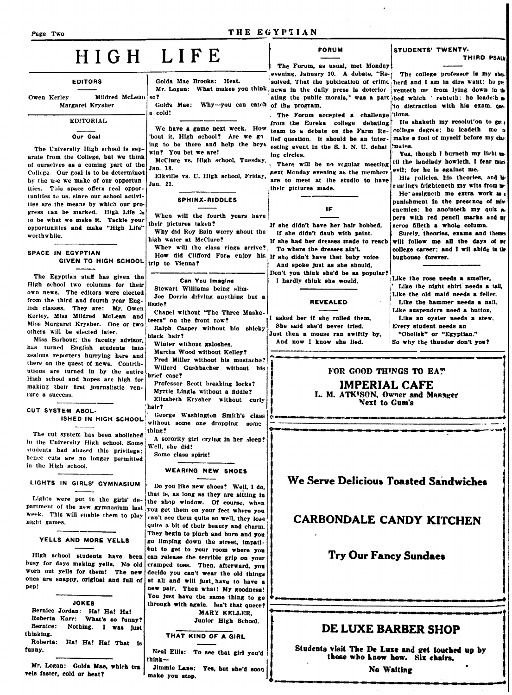#### THE EGYPTIAN

## HIGH LIFE

80?

#### **EDITORS**

Owen Kerley Mildred McLean

## Margaret Krysher

#### **EDITORIAL**

Our Goal

The University High school is separate from the College, but we think of ourselves as a coming part of the College. Our goal is to be determined. by the use we make of our opportunities. This space offers real opportunities to us, since our school activities are the means by which our progress can be marked. High Life .b to be what we make it. Tackle your opportunities and make "High Life' worthwhile.

#### SPACE IN EGYPTIAN **GIVEN TO HIGH SCHOOL**

The Egyptian staff has given the High school two columns for their own news. The editors were elected from the third and fourth year English classes. They are: Mr. Owen Kerley, Miss Mildred McLean and Miss Margaret Krysher. One or two others will be elected later.

Miss Barbour, the faculty advisor, has turned English students into zealous reporters hurrying here and there on the quest of news. Contributions are turned in by the entire High school and hopes are high for making their first journalistic venture a success.

#### CUT SYSTEM ABOL-ISHED IN HIGH SCHOOL

The cut system has been abolished in the University High school. Some students had abused this privilege: hence cuts are no longer permitted in the High school.

#### LIGHTS IN GIRLS' GYMNASIUM

Lights were put in the girls' department of the new gymnasium last week. This will enable them to play night games.

#### YELLS AND MORE YELLS

High school students have been busy for days making yells. No old worn out yells for them! The new ones are snappy, original and full of pep!

**JOKES** 

Bernice Jordan: Ha! Ha! Ha! Roberta Karr: What's so funny? Nothing. I was just Bernice: thinking. Roberta: Ha! Ha! Ha! That is funny.

Mr. Logan: Golda Mae, which tra vels faster, cold or heat?

Golda Mae Brooks: Heat.

Golda Mae: Why-you can catch of the program. a cold!

We have a game next week. How bout it, High school? Are we go ing to be there and help the boys win? You bet we are!

McClure vs. High school, Tuesday. Jan. 18.

Elkville vs. U. High school, Friday, Jan. 21.

#### **SPHINX-RIDDLES**

When will the fourth years have their nictures taken?

Why did Roy Bain worry about the high water at McClure?

When will the class rings arrive? How did Clifford Fore enjoy his If she didn't have that baby voice trip to Vienna?

Can You Imagine Stewart Williams being slim-Joe Dorris driving anything but a lizzie?

Chapel without "The Three Muske teers" on the front row?

Ralph Casper without his shieky black hair?

Winter without galoshes.

Martha Wood without Kelley?

Fred Miller without his mustache? Willard Gushbacher without his brief case?

Professor Scott breaking locks? Myrtle Lingle without a fiddle? Elizabeth Krysher without curly hair?

George Washington Smith's class without some one dropping some thing?

A sorority girl crying in her sleep? Well, she did!

Some class spirit!

#### WEARING NEW SHOES

Do you like new shoes? Well, I do. that is, as long as they are sitting in the shop window. Of course, when you get them on your feet where you can't see them quite so well, they lose quite a bit of their beauty and charm. They begin to pinch and burn and you go limping down the street, impatient to get to your room where you can release the terrible grip on your cramped toes. Then, afterward, you decide you can't wear the old things at all and will just, have to have a new pair. Then what! My goodness! You just have the same thing to go through with again. Isn't that queer? MARY KELLER.

Junior High School.

THAT KIND OF A GIRL

Neal Ellis: To see that girl you'd think-

Jimmie Lane: Yes, but she'd soon make you stop.

#### **FORUM**

The Forum, as usual, met Monday! evening, January 10. A debate, "Resolved. That the publication of crime herd and I am in dire want; he pre Mr. Logan: What makes you think news in the daily press is deterior venteth me from lying down in the ating the public morals," was a part bed which ' renteth; he leadeth as

> The Forum accepted a challenge tions. from the Eureka college debating team to a debate on the Farm Re- college degree; he leadeth me to lief question. It should be an interesting event in the S. I. N. U. debat ing circles.

There will be no regular meeting next Monday evening as the members are to meet at the studio to have their pictures made.

#### IF

If she didn't have her hair bobbed. If she didn't daub with paint. If she had her dresses made to reach To where the dresses sin't. And spoke just as she should, Don't you think she'd be as popular! I hardly think she would.

#### **REVEALED**

I asked her if she rolled them, She said she'd never tried Just then a mouse ran swiftly by, And now I know she lied.

STUDENTS' TWENTY-

#### THIRD PSALE

The college professor is my she-'to distraction with his exam. ques

He shaketh my resolut'on to get make a fool of myself before my class mates.

Yea, though I burneth my light mtil the landlady howleth, I fear musi evil; for he is against me.

His rolicies, his theories, and he rantings frighteneth my wits from me He assigneth me extra work as a punishment in the presence of min enemies; he anointeth my quiz ppers with red pencil marks and my zeros filleth a whole column.

Surely, theories, exams and themes will follow me all the days of my college career: and I wil abide in the bughouse forever.

Like the rose needs a smeller. Like the night shirt needs a tail. Like the old maid needs a feller, Like the hammer needs a nail. Like suspenders need a button. Like an oyster needs a stew. Every student needs an "Obelisk" or "Egyptian."

So why the thunder don't vou?

FOR GOOD THINGS TO EAT

**IMPERIAL CAFE** L. M. ATK<sup>I</sup>SON, Owner and Manager

**Next to Gum's** 

## We Serve Delicious Toasted Sandwiches

## **CARBONDALE CANDY KITCHEN**

## **Try Our Fancy Sundaes**

## DE LUXE BARBER SHOP

Students visit The De Luxe and get touched up by those who know how. Six chairs,

**No Waiting**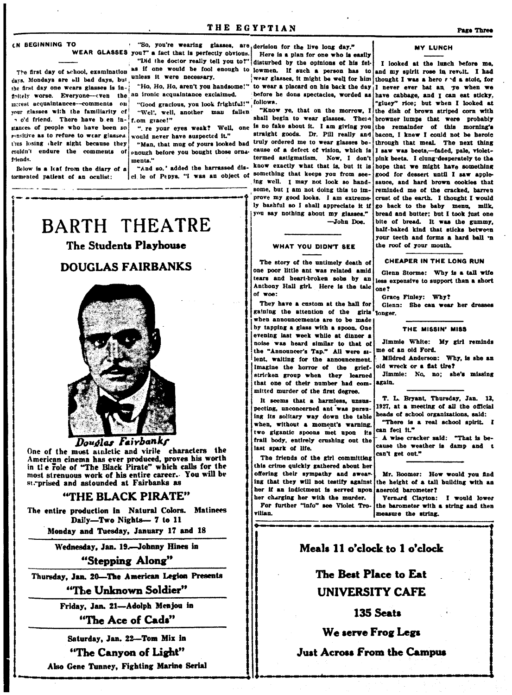CN BEGINNING TO

days, Mondays are all bad days, but unless it were necessary. the first day one wears glasses is infinitely worse. Everyone-tven the morest acquaintances-comments on vour classes with the familiarity of a o'd friend. There have been instances of people who have been so rensitive as to refuse to wear glasses. thus losing their sight because they couldn't endure the comments of triands

Below is a leaf from the diary of a tormented patient of an oculist:

"Ho, Ho, Ho, aren't you handsome!" an ironic acquaintance exclaimed.

"Good gracious, you look frightful!" Ollows. "Wel', well, another man fallen f.om grace!"

". re your eyes weak? Well, one would never have suspected it."

enough before you bought those ornaments."

"And so.' added the harrassed disci le of Pepys, "I was an object of

## **BARTH THEATRE** The Students Playhouse **DOUGLAS FAIRBANKS**



Douglas Fairbanks

One of the most athletic and virile characters the American cinema has ever produced, proves his worth in the role of "The Black Pirate" which calls for the most strenuous work of his entire career. You will be st. prised and astounded at Fairbanks as

### "THE BLACK PIRATE"

The entire production in Natural Colors. Matinees Daily-Two Nights-7 to 11

Monday and Tuesday, January 17 and 18

Wednesday, Jan. 19.-Johnny Hines in

"Stepping Along"

Thursday, Jan. 20-The American Legion Presents

"The Unknown Soldier"

Friday, Jan. 21-Adolph Menjou in

"The Ace of Cads"

Saturday, Jan. 22-Tom Mix in "The Canyon of Light" Also Gene Tunney, Fighting Marine Serial

"So, you're wearing glasses, are derision for the live long day." WEAR GLASSES you?" a fact that is perfectly obvious. Here is a plan for one who is easily "Did the doctor really tell you to?" disturbed by the opinions of his fel-The first day of school, examination as if one would be fool enough to lowmen. If such a person has to and my spirit rose in revolt. I had wear glasses, it might be well for him to wear a placard on his back the day it never ever bat an ye when we before he dons spectacles, worded as

"Know ye, that on the morrow, I shall begin to wear glasses. There is no fake about it. I am giving you straight goods. Dr. Pill really and "Man, that mug of yours looked bad truly ordered me to wear glasses because of a defect of vision, which is termed astigmatism. Now, I don't know exactly what that is, but it is something that keeps you from seeing well. I may not look so handsome, but I am not doing this to improve my good looks. I am extremely bashful so I shall appreciate it if you say nothing about my glasses." -John Doe.

#### WHAT YOU DIDN'T SEE

The story of the untimely death of one poor little ant was related amid tears and heart-broken sobs by an Anthony Hall girl. Here is the tale of woe:

They have a custom at the hall for gaining the attention of the girls<sup>1</sup>longer. when announcements are to be made by tapping a glass with a spoon. One evening last week while at dinner a noise was heard similar to that of the "Announcer's Tap." All were silent, waiting for the announcement. Imagine the horror of the griefstricken group when they learned that one of their number had committed murder of the first degree.

It seems that a harmless, unsuspecting, unconcerned ant was pursuing its solitary way down the table when, without a moment's warning, two gigantic spoons met upon its frail body, entirely crushing out the last spark of life.

The friends of the girl committing this crime quickly gathered about her offering their sympathy and swearing that they will not testify against her if an indictment is served upon her charging her with the murder.

For further "info" see Violet Trovilian.

#### **MY LUNCH**

I looked at the lunch before me. thought I was a hero  $r \triangleleft a$  stole, for have cabbage, and I can eat sticky. "gluey" rice; but when I looked at the dish of brown striped corn with browner lumps that were probably the remainder of this morning's bacon. I knew I could not be heroic through that meal. The next thing I saw was beets,-faded, pale, violetpink beets. I clung desperately to the hope that we might have something good for dessert until I saw applesauce, and hard brown cookies that reminded me of the cracked, barreu crust of the earth. I thought I would go back to the baby menu, milk, bread and butter; but I took just one bite of bread. It was the gummy, half-baked kind that sticks between your teeth and forms a hard ball 'n the roof of your mouth.

**CHEAPER IN THE LONG RUN** 

Glenn Storme: Why is a tall wife less expensive to support than a short  $0.007$ 

Grace Finley: Why?

Glenn: She can wear her dresses

#### THE MISSIN' MISS

Jimmie White: My girl reminds me of an old Ford.

Mildred Anderson: Why, is she an old wreck or a flat tire?

Jimmie: No. no: she's missing again.

T. L. Bryant, Thursday, Jan. 13, 1927, at a meeting of all the official heads of school organizations, said: "There is a real school spirit. I

can feel it."

A wise cracker said: "That is because the weather is damp and t can't get out."

Mr. Boomer: How would you find the height of a tall building with an aneroid barometer?

Vernard Clavton: I would lower the barometer with a string and then measure the string.

## Meals 11 o'clock to 1 o'clock

The Best Place to Eat **UNIVERSITY CAFE** 

### 135 Seats

## We serve Frog Legs

### **Just Across From the Campus**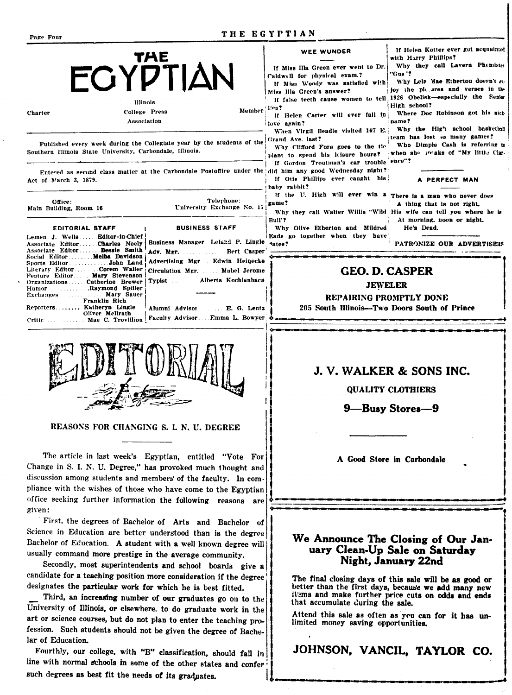| THE EGYPTIAN<br>Page Four                                                                                                                                                                                                                                                                                                                                                                                                                                                                                                                                                                                                                                                                                                                                                                                                                                                                                                                                  |                                                                                                                                                                                                                                                                                                                                                                                                                                                                                                                                                                                                                                                                                |  |  |  |  |
|------------------------------------------------------------------------------------------------------------------------------------------------------------------------------------------------------------------------------------------------------------------------------------------------------------------------------------------------------------------------------------------------------------------------------------------------------------------------------------------------------------------------------------------------------------------------------------------------------------------------------------------------------------------------------------------------------------------------------------------------------------------------------------------------------------------------------------------------------------------------------------------------------------------------------------------------------------|--------------------------------------------------------------------------------------------------------------------------------------------------------------------------------------------------------------------------------------------------------------------------------------------------------------------------------------------------------------------------------------------------------------------------------------------------------------------------------------------------------------------------------------------------------------------------------------------------------------------------------------------------------------------------------|--|--|--|--|
| <b>EGYPTIAN</b><br>Illinois<br>Member<br>College Press<br>Charter<br>Association                                                                                                                                                                                                                                                                                                                                                                                                                                                                                                                                                                                                                                                                                                                                                                                                                                                                           | If Helen Kotter ever got acquainted<br>WEE WUNDER<br>with Harry Phillips?<br>Why they call Lavern Phemister<br>If Miss Illa Green ever went to Dr.<br>"Gus '?<br>Caldwell for physical exam.?<br>Why Lels Mae Etherton doesn't a.<br>If Miss Woody was satisfied with<br>joy the pit ares and verses in the<br>Miss Illa Green's answer?<br>If false teeth cause women to tell 1926 Obelisk-especially the Senior<br>High school?<br>fjies?<br>Where Doc Robinson got his nick-<br>If Helen Carter will ever fall in<br>name?<br>love again?<br>Why the High school basketball<br>When Virgil Beadle visited 107 E.                                                            |  |  |  |  |
| Published every week during the Collegiate year by the students of the<br>Southern Illinois State University, Carbondale, Illinois.<br>Entered as second class matter at the Carbondale Postoffice under the did him any good Wednesday night?<br>Act of March 3, 1879.<br>Telephone:<br>Office:<br>University Exchange No. 17<br>Main Building, Room 16<br><b>BUSINESS STAFF</b><br>EDITORIAL STAFF<br>Lemen J. Wells  Editor-in-Chief<br>Business Manager Leland P. Lingle<br>Associate EditorCharles Neely<br>Associate Editor Bessie Smith<br>Adv. Mgr. Bert Casper                                                                                                                                                                                                                                                                                                                                                                                    | team has lost so many games?<br>Grand Ave. last?<br>Who Dimple Cash is referring to<br>Why Clifford Fore goes to the tie<br>when she incaks of "My little Clar-<br>plant to spend his leisure hours?<br>If Gordon Troutman's car trouble ence"?<br>If Otis Phillips ever caught his<br>PERFECT MAN<br>baby rabbit?<br>If the U. High will ever win a There is a man who never does<br>game?<br>A thing that is not right,<br>Why they call Walter Willis "Wild His wife can tell you where he is<br>Bull'?<br>At morning, noon or night.<br>Why Olive Etherton and Mildred<br>He's Dead.<br>Eads go together when they have<br><sup>1</sup> ates?<br>PATRONIZE OUR ADVERTISERS |  |  |  |  |
| Social Editor Melba Davidson<br>Advertising Mgr  Edwin Heinecke<br>Literary EditorCorem Waller<br>Circulation Mgr. Mabel Jerome<br>Feature Editor Mary Stevenson<br>Typist  Alberta Kochlenbacn<br>OrganizationsCatherine Brewer<br><b>Example 2.1 Inc. Raymond Spiller</b><br>Humor<br><b>Mary Sauer</b> Mary Sauer<br>Exchanges<br>Franklin Rich<br>Reporters Katheryn Lingle<br>Alumni Advisor  E. G. Lentz<br>Oliver McIlrath<br>Critic   Mae C. Trovillion Faculty Advisor Emma L. Bowyer                                                                                                                                                                                                                                                                                                                                                                                                                                                             | <b>GEO. D. CASPER</b><br><b>JEWELER</b><br>REPAIRING PROMPTLY DONE<br>205 South Illinois-Two Doors South of Prince                                                                                                                                                                                                                                                                                                                                                                                                                                                                                                                                                             |  |  |  |  |
| REASONS FOR CHANGING S. I. N. U. DEGREE                                                                                                                                                                                                                                                                                                                                                                                                                                                                                                                                                                                                                                                                                                                                                                                                                                                                                                                    | J.V. WALKER & SONS INC.<br><b>QUALITY CLOTHIERS</b><br>9—Busy Stores—9                                                                                                                                                                                                                                                                                                                                                                                                                                                                                                                                                                                                         |  |  |  |  |
| The article in last week's Egyptian, entitled "Vote For<br>Change in S. I. N. U. Degree," has provoked much thought and<br>discussion among students and members of the faculty. In com-<br>pliance with the wishes of those who have come to the Egyptian<br>office seeking further information the following reasons are                                                                                                                                                                                                                                                                                                                                                                                                                                                                                                                                                                                                                                 | A Good Store in Carbondale                                                                                                                                                                                                                                                                                                                                                                                                                                                                                                                                                                                                                                                     |  |  |  |  |
| given:<br>First, the degrees of Bachelor of Arts and Bachelor of<br>Science in Education are better understood than is the degree<br>Bachelor of Education. A student with a well known degree will<br>usually command more prestige in the average community.<br>Secondly, most superintendents and school boards give a<br>candidate for a teaching position more consideration if the degree<br>designates the particular work for which he is best fitted.<br>Third, an increasing number of our graduates go on to the<br>University of Illinois, or elsewhere, to do graduate work in the<br>art or science courses, but do not plan to enter the teaching pro-<br>fession. Such students should not be given the degree of Bache-<br>lar of Education.<br>Fourthly, our college, with "B" classification, should fall in<br>line with normal schools in some of the other states and confer<br>such degrees as best fit the needs of its graduates. | We Announce The Closing of Our Jan-<br>uary Clean-Up Sale on Saturday<br>Night, January 22nd<br>The final closing days of this sale will be as good or<br>better than the first days, because we add many new<br>items and make further price cuts on odds and ends<br>that accumulate during the sale.<br>Attend this sale as often as you can for it has un-<br>limited money saving opportunities.<br>JOHNSON, VANCIL, TAYLOR CO.                                                                                                                                                                                                                                           |  |  |  |  |

 $\hat{\mathbf{r}}$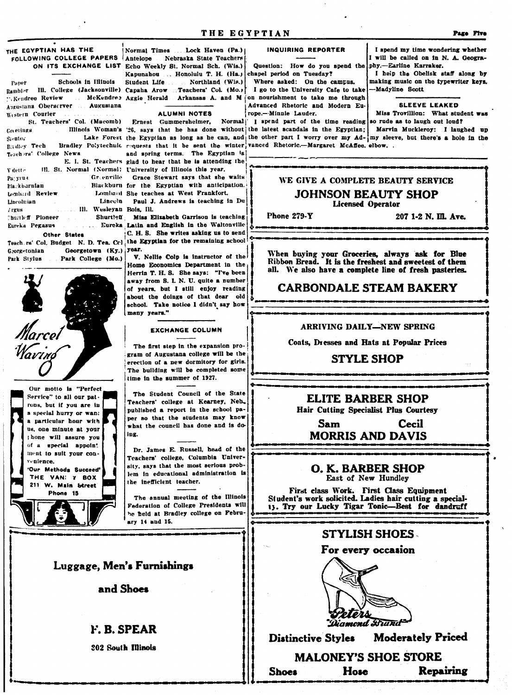## THE EGYPTIAN HAS THE

Schools in Illinois Paper Rambler Ill. College (Jacksonville) Capaha Arow. "Kendree Review Augustana Oberserver Augustana Western Courier

St. Teachers' Col. (Macomb) Greetings Sieutor. B. dley Tech Teachers' College News III. St. Normal (Normal) University of Illinois this year. V dette Greenville Par yrus Blackbarnian Lonbard Review Lincolnian Lincoln  $/$ rgus Ill. Wesleyan Bois, Ill. Churtleff Pioneer Eureka Pegasus

Other States

Georgetown (Ky.) year. Georgetonian Park College (Mo.) Park Stylus

Havin



Normal Times ...Lock Haven (Pa.) FOLLOWING COLLEGE PAPERS Antelope Nebraska State Teachers ON ITS EXCHANGE LIST Echo Weekly St. Normal Sch. (Wis.) Kapunahou ... Honolulu T. H. (Ha.) Student Life Northland (Wis.) Teachers' Col. (Mo.)

ALUMNI NOTES

Illinois Woman's '26, says that he has done without the latest scandals in the Egyptian; Bradley Polytechnic requests that it be sent the winter vanced Rhetoric.--Margaret McAffee. elbow. and spring terms. The Egyptian is E. I. St. Teachers glad to hear that he is attending the

Grace Stewart says that she waits Blackburn for the Egyptian with anticipation. Lombard She teaches at West Frankfort,

Paul J. Andrews is teaching in Du

Shurtleff Miss Elizabeth Garrison is teaching .... Eureka Latin and English in the Waltonville C. H. S. She writes asking us to send Teach rs' Col. Budget N. D. Tea. Col the Egyptian for the remaining school

> V. Nellie Colp is instructor of the Home Economics Department in the Herrin T. H. S. She says: "I've been away from S. I. N. U. quite a number of years, but I still enjoy reading about the doings of that dear old school. Take notice I didn't say how many years."

#### **EXCHANGE COLUMN**

The first step in the expansion program of Augustana college will be the erection of a new dormitory for girls. The building will be completed some time in the summer of 1927.

The Student Council of the State Teachers' college at Kearney, Neb., published a report in the school paper so that the students may know what the council has done and is doing.

Dr. James E. Russell, head of the Teachers' college. Columbia University, says that the most serious problem in educational administration is the inefficient teacher.

The snnual meeting of the Illinois Federation of College Presidents will he held at Bradley college on February 14 and 15.

## Luggage, Men's Furnishings

and Shoes

## F. B. SPEAR

**302 South Illinois** 

## THE EGYPTIAN

#### **INQUIRING REPORTER**

Question: How do you spend the chapel period on Tuesday? Where asked: On the campus.

I go to the University Cafe to take McKendree Aggie Herald Arkansas A. and M on nourishment to take me through Advanced Rhetoric and Modern Eu-

rope.--Minnie Lauder.

Ernest Gummersheimer, Normal I spend part of the time reading so rude as to laugh out loud? Marvin Muckleroy: I laughed up Lake Forest the Egyptian as long as he can, and the other part I worry over my Ad- my sleeve, but there's a hole in the

### WE GIVE A COMPLETE BEAUTY SERVICE **JOHNSON BEAUTY SHOP Licensed Operator**

Phone 279-Y

207 1-2 N. III. Ave.

When buying your Groceries, always ask for Blue Ribbon Bread. It is the freshest and sweetest of them all. We also have a complete line of fresh pasteries.

## **CARBONDALE STEAM BAKERY**

#### ARRIVING DAILY-NEW SPRING

Coats, Dresses and Hats at Popular Prices

### **STYLE SHOP**

ELITE BARBER SHOP Hair Cutting Specialist Plus Courtesy

Sam Cecil **MORRIS AND DAVIS** 

O. K. BARBER SHOP East of New Hundley

First class Work. First Class Equipment Student's work solicited. Ladies hair cutting a special-13. Try our Lucky Tigar Tonic-Best for dandruff

## **STYLISH SHOES**

### For every occasion



Diamond Brand

**Moderately Priced Distinctive Styles** 

## **MALONEY'S SHOE STORE Repairing**

**Shoes** 

Hose

I spend my time wondering whether I will be called on in N. A. Geography.-Earline Karraker.

I help the Obelisk staff along by making music on the typewriter keys. -Madyline Scott

**SLEEVE LEAKED** 

Miss Trovillion: What student was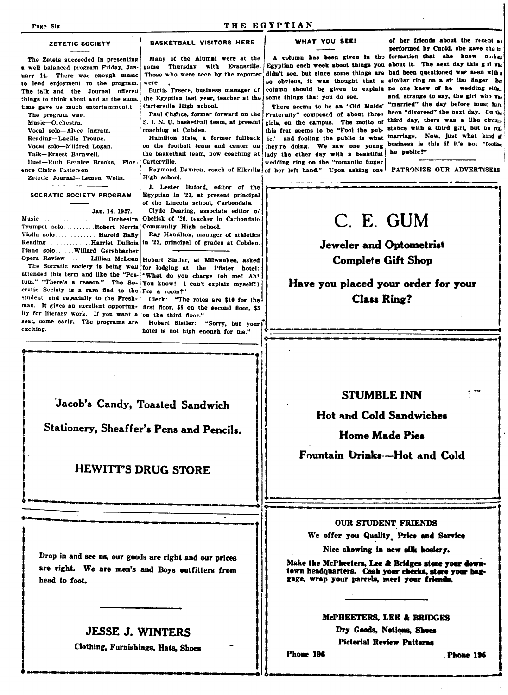#### THE EGYPTIAN

#### ZETETIC SOCIETY

The Zetets succeeded in presenting a well balanced program Friday, January 14. There was enough music to lend enjoyment to the program. The talk and the Journal offered things to think about and at the same time gave us much entertainment.t

The program was: Music-Orchestra. Vocal solo-Alyce Ingram. Reading-Lucille Troupe. Vocal solo-Mildred Logan. Talk-Ernest Barnwell Duet-Ruth Bernice Brooks, Flor ence Claire Patterson. Zetetic Journal-Lemen Wells.

SOCRATIC SOCIETY PROGRAM

Jan. 14, 1927.

Music ... Orchestra . . . . **. . . . . . . . . .** . Trumpet solo ......... Robert Norris Violin solo.............. Harold Baily Reading Piano solo ..... Willard Gershbacher Opera Review .......Lillian McLean Hobart Sistler, at Milwaukee, asked

attended this term and like the "Pos- what do you charge (oh me! Ah! tum," "There's a reason." The Socratic Society is a rare find to the For a room?" student, and especially to the Freshman. It gives an excellent opportunity for literary work. If you want a seat, come early. The programs are exciting.

head to foot.

Many of the Alumni were at the Thursday with Evansville. game Those who were seen by the reporter were:

**BASKETBALL VISITORS HERE** 

Burtis Treece, business manager of the Egyptian last year, teacher at the Carterville High school.

Paul Chauce, former forward on the S. I. N. U. basketball team, at present coachiug at Cobden.

Hamilton Hale, a former fullback on the football team and center on the basketball team, now coaching at lady the other day with a beautiful he public!" Carterville.

Raymond Damren, coach of Elkville of her left hand." Upon asking one PATRONIZE OUR ADVERTISERS High school.

J. Lester Buford, editor of the Egyptian in '23, at present principal of the Lincoln school. Carbondale.

Clyde Dearing, associate editor of Obelisk of '26, teacher in Carbondale Community High school.

Ray Hamilton, manager of athletics ..............Harriet DuBois in '22, principal of grades at Cobden.

The Socratic society is being well for lodging at the Pfister hotel: You know! I can't explain myself!)

> Clerk: "The rates are \$10 for the first floor, \$8 on the second floor, \$5 on the third floor."

> Hobart Sistler: "Sorry, but your hotel is not high enough for me."

#### WHAT YOU SEE!

didn't see, but since some things are had been questioned war seen with a column should be given to explain no one knew of her wedding either some things that you do see.

There seems to be an "Old Maids' Fraternity" composed of about three been "divorced" the next day. On the girls, on the campus. The motto of third day, there was a like circumthis frat seems to be "Foot the pub-stance with a third girl, but no mail ic.'-and fooling the public is what marriage. Now, just what kind of they're doing. We saw one young business is this if it's not "fooling wedding ring on the "romantic finger

of her friends about the recent an performed by Cupid, she gave the in-A column has been given in the formation that she knew nothing Egyptian each week about things you about it. The next day this g.ri when so obvious, it was thought that a similar ring on a si<sup>t</sup> llai finger. But and, strange to say, the girl who was "married" the day before must have

## C. E. GUM

**Jeweler and Optometrist Complete Gift Shop** 

Have you placed your order for your **Class Ring?** 

Jacob's Candy, Toasted Sandwich

Stationery, Sheaffer's Pens and Pencils.

## **HEWITT'S DRUG STORE**

Drop in and see us, our goods are right and our prices

are right. We are men's and Boys outfitters from

**JESSE J. WINTERS** 

Clothing, Furnishings, Hats, Shoes

**STUMBLE INN** 

**Hot and Cold Sandwiches** 

**Home Made Pies** 

Fountain Urinks--Hot and Cold

### **OUR STUDENT FRIENDS**

We offer you Quality. Price and Service

Nice showing in new silk hosiery.

Make the McPheeters, Lee & Bridges store your downtown headquarters. Cash your checks, store your baggage, wrap your parcels, meet your friends.

#### McPHEETERS, LEE & BRIDGES

Dry Goods, Notions, Shoes **Pictorial Review Patterns** 

Phone 196

**Phone 196**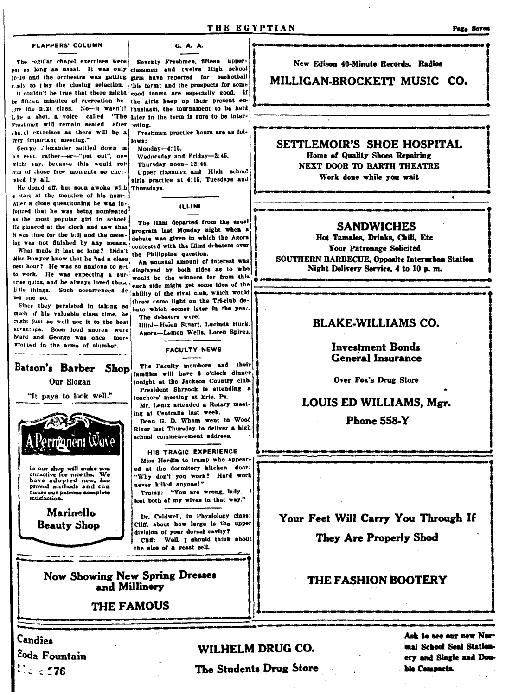### THE EGYPTIAN

#### **FLAPPERS' COLUMN**

G. A. A.

The regular chapel exercises were Seventy Freshmen, fifteen upper-

Freshmen will remain seated after <sub>esting</sub>. cha, el exercises as there will be a rery important meeting."

George / lexander settled down in his seat. rather-er-"put out", one might say, because this would rob him of those free moments so cherished hy all

He dozed off, but soon awoke with Thursdavs. a start at the mention of his name After a close questitoning he was informed that he was being nominated as the most popular girl in school. He glanced at the clock and saw that It was time for the boll and the meet- debate was given in which the Agora ing was not finished by any means.

What made it last so long? Didn't Miss Bowyer know that he had a class next hour? He was so anxious to get to work. He was expecting a survex one so.

Since they persisted in taking so much of his valuable class time, he might just as well use it to the best advantage. Soon loud snores were heard and George was once more wrapped in the arms of slumber.

## Batson's Barber Shop

Our Slogan

"It pays to look well."



in our shop will make you<br>attractive for months. We<br>have adopted new, im-<br>proved methods and can Essure our patrons complete

> Marinello **Beauty Shop**

Candies

not as long as usual. It was only classmen and twelve High school 10.10 and the orchestra was getting girls have reported for basketball ready to thay the closing selection. This term; and the prospects for some it couldn't be true that there might good teams are especially good. If be fifteen minutes of recreation be- the girls keep up their present enore the next class. No-it wasn't! thusiasm, the tournament to be held I ke a shot, a voice called "The later in the term is sure to be inter-

Freshmen practice hours are as foilows:

Monday-4:15.

Wednesday and Friday-2:45.

Thursday noon-12:45. Upper classmen and High school

girls practice at 4:15, Tuesdays and

ILLINI

The Illini departed from the usual program last Monday night when a contested with the Illini debaters over the Philippine question.

An unusual amount of interest was displayed by both sides as to who would be the winners for from this trise quizz, and he always loved those reach side might get some idea of the li tle things. Such occurrences de ability of the rival club, which would throw come light on the Tri-club de-

hate which comes later in the year. The debaters were:

Illini-Heien Stuart, Lucinda Huck. Agora-Lemen Wells, Loren Spires.

**FACULTY NEWS** 

The Faculty members and their families will have 6 o'clock dinner tonight at the Jackson Country club. President Shryock is attending a teachers' meeting at Erie, Pa. Mr. Lents attended a Rotary meeting at Centralia last week.

Dean G. D. Wham went to Wood River last Thursday to deliver a high school commencement address.

HIS TRAGIC EXPERIENCE Miss Hardin to tramp who appeared at the dormitory kitchen door: "Why don't you work? Hard work never killed anyone!" Tramp: "You are wrong, lady. 1 lost both of my wives in that way."

Dr. Caldwell, in Physiology class: Cliff, about how large is the upper division of your dorsal cavity? Cliff: Well, I should think about the size of a yeast cell.

**Now Showing New Spring Dresses** and Millinery

**THE FAMOUS** 

New Edison 40-Minute Records. Radios

MILLIGAN-BROCKETT MUSIC CO.

SETTLEMOIR'S SHOE HOSPITAL Home of Quality Shoes Repairing NEXT DOOR TO BARTH THEATRE Work done while you wait

### **SANDWICHES**

Hot Tamales, Drinks, Chili, Etc **Your Patronage Solicited** SOUTHERN BARBECUE, Opposite Interurban Station Night Delivery Service, 4 to 10 p.m.

## **BLAKE-WILLIAMS CO.**

**Investment Bonds General Insurance** 

Over Fox's Drug Store

LOUIS ED WILLIAMS, Mgr.

**Phone 558-Y** 

Your Feet Will Carry You Through If They Are Properly Shod

## THE FASHION BOOTERY

 $\bullet$ 

Soda Fountain  $U$ a a 576

## WILHELM DRUG CO.

The Students Drug Store

Ask to see our new Normal School Seal Stationery and Single and Double Compacts.